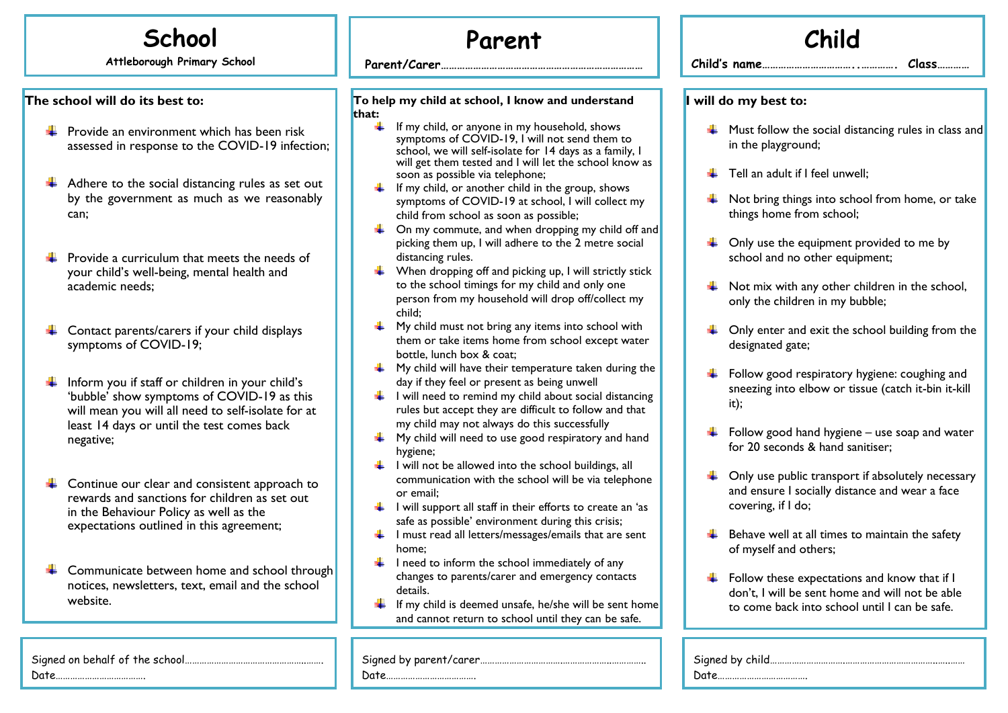## **School**

**Attleborough Primary School**

## **The school will do its best to:**

- $\frac{1}{2}$  Provide an environment which has been risk assessed in response to the COVID-19 infection;
- Adhere to the social distancing rules as set out ÷ by the government as much as we reasonably can;
- ₩ Provide a curriculum that meets the needs of your child's well-being, mental health and academic needs;
- Contact parents/carers if your child displays ÷ symptoms of COVID-19;
- Inform you if staff or children in your child's 'bubble' show symptoms of COVID-19 as this will mean you will all need to self-isolate for at least 14 days or until the test comes back negative;
- Continue our clear and consistent approach to ÷ rewards and sanctions for children as set out in the Behaviour Policy as well as the expectations outlined in this agreement;

 $\leftarrow$  Communicate between home and school through notices, newsletters, text, email and the school website.

## **Parent**

**Parent/Carer…………………………………………………………………**

**To help my child at school, I know and understand that:**

**…**

- $\frac{1}{\sqrt{1}}$  If my child, or anyone in my household, shows symptoms of COVID-19, I will not send them to school, we will self-isolate for 14 days as a family, I will get them tested and I will let the school know soon as possible via telephone;
- $\frac{1}{\sqrt{1}}$  If my child, or another child in the group, shows symptoms of COVID-19 at school, I will collect my child from school as soon as possible;
- $\downarrow$  On my commute, and when dropping my child off a picking them up, I will adhere to the 2 metre social distancing rules.
- $\downarrow$  When dropping off and picking up, I will strictly stic to the school timings for my child and only one person from my household will drop off/collect my child;
- $\bigcup$  My child must not bring any items into school with them or take items home from school except water bottle, lunch box & coat;
- $\frac{1}{\sqrt{2}}$  My child will have their temperature taken during the day if they feel or present as being unwell
- $\downarrow$  I will need to remind my child about social distancing rules but accept they are difficult to follow and that my child may not always do this successfully
- $\frac{1}{2}$  My child will need to use good respiratory and hand hygiene;
- $\downarrow$  I will not be allowed into the school buildings, all communication with the school will be via telephon or email;
- $\frac{1}{\sqrt{1}}$  I will support all staff in their efforts to create an 'as safe as possible' environment during this crisis;
- $\downarrow$  I must read all letters/messages/emails that are sent home;
- $\downarrow$  I need to inform the school immediately of any changes to parents/carer and emergency contacts details.
- If my child is deemed unsafe, he/she will be sent home and cannot return to school until they can be safe.

Signed by parent/carer…………………………….………………..…………..

Date……………………………….

|                |                       |     | Child                                                                                                                                            |  |  |
|----------------|-----------------------|-----|--------------------------------------------------------------------------------------------------------------------------------------------------|--|--|
|                |                       |     | Child's name<br>Class                                                                                                                            |  |  |
|                | I will do my best to: |     |                                                                                                                                                  |  |  |
|                |                       |     | Must follow the social distancing rules in class and<br>in the playground;                                                                       |  |  |
| as             |                       |     | Tell an adult if I feel unwell;                                                                                                                  |  |  |
|                |                       | . . | Not bring things into school from home, or take<br>things home from school;                                                                      |  |  |
| and            |                       |     | Only use the equipment provided to me by<br>school and no other equipment;                                                                       |  |  |
| :k             |                       | ÷   | Not mix with any other children in the school,<br>only the children in my bubble;                                                                |  |  |
| ۱r             |                       |     | $\downarrow$ Only enter and exit the school building from the<br>designated gate;                                                                |  |  |
| :he<br>ng<br>t |                       |     | Follow good respiratory hygiene: coughing and<br>sneezing into elbow or tissue (catch it-bin it-kill<br>it);                                     |  |  |
| d              |                       |     | Follow good hand hygiene - use soap and water<br>for 20 seconds & hand sanitiser;                                                                |  |  |
| ٦e<br>S        |                       |     | Only use public transport if absolutely necessary<br>and ensure I socially distance and wear a face<br>covering, if I do;                        |  |  |
| t              |                       |     | Behave well at all times to maintain the safety<br>of myself and others;                                                                         |  |  |
| me             |                       |     | Follow these expectations and know that if I<br>don't, I will be sent home and will not be able<br>to come back into school until I can be safe. |  |  |